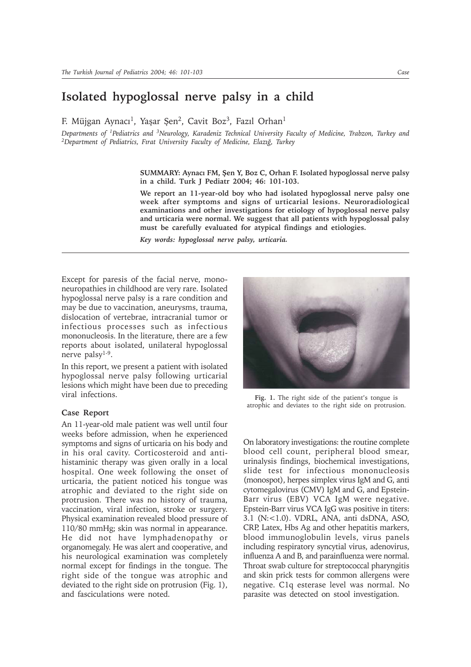## **Isolated hypoglossal nerve palsy in a child**

F. Müjgan Aynacı<sup>1</sup>, Yaşar Şen<sup>2</sup>, Cavit Boz<sup>3</sup>, Fazıl Orhan<sup>1</sup>

*Departments of 1Pediatrics and 3Neurology, Karadeniz Technical University Faculty of Medicine, Trabzon, Turkey and* <sup>2</sup>Department of Pediatrics, Firat University Faculty of Medicine, Elaziğ, Turkey

> SUMMARY: Aynacı FM, Şen Y, Boz C, Orhan F. Isolated hypoglossal nerve palsy **in a child. Turk J Pediatr 2004; 46: 101-103.**

> **We report an 11-year-old boy who had isolated hypoglossal nerve palsy one week after symptoms and signs of urticarial lesions. Neuroradiological examinations and other investigations for etiology of hypoglossal nerve palsy and urticaria were normal. We suggest that all patients with hypoglossal palsy must be carefully evaluated for atypical findings and etiologies.**

*Key words: hypoglossal nerve palsy, urticaria.*

Except for paresis of the facial nerve, mononeuropathies in childhood are very rare. Isolated hypoglossal nerve palsy is a rare condition and may be due to vaccination, aneurysms, trauma, dislocation of vertebrae, intracranial tumor or infectious processes such as infectious mononucleosis. In the literature, there are a few reports about isolated, unilateral hypoglossal nerve palsy1-9.

In this report, we present a patient with isolated hypoglossal nerve palsy following urticarial lesions which might have been due to preceding viral infections.

## **Case Report**

An 11-year-old male patient was well until four weeks before admission, when he experienced symptoms and signs of urticaria on his body and in his oral cavity. Corticosteroid and antihistaminic therapy was given orally in a local hospital. One week following the onset of urticaria, the patient noticed his tongue was atrophic and deviated to the right side on protrusion. There was no history of trauma, vaccination, viral infection, stroke or surgery. Physical examination revealed blood pressure of 110/80 mmHg; skin was normal in appearance. He did not have lymphadenopathy or organomegaly. He was alert and cooperative, and his neurological examination was completely normal except for findings in the tongue. The right side of the tongue was atrophic and deviated to the right side on protrusion (Fig. 1), and fasciculations were noted.



**Fig. 1.** The right side of the patient's tongue is atrophic and deviates to the right side on protrusion.

On laboratory investigations: the routine complete blood cell count, peripheral blood smear, urinalysis findings, biochemical investigations, slide test for infectious mononucleosis (monospot), herpes simplex virus IgM and G, anti cytomegalovirus (CMV) IgM and G, and Epstein-Barr virus (EBV) VCA IgM were negative. Epstein-Barr virus VCA IgG was positive in titers: 3.1 (N:<1.0). VDRL, ANA, anti dsDNA, ASO, CRP, Latex, Hbs Ag and other hepatitis markers, blood immunoglobulin levels, virus panels including respiratory syncytial virus, adenovirus, influenza A and B, and parainfluenza were normal. Throat swab culture for streptococcal pharyngitis and skin prick tests for common allergens were negative. C1q esterase level was normal. No parasite was detected on stool investigation.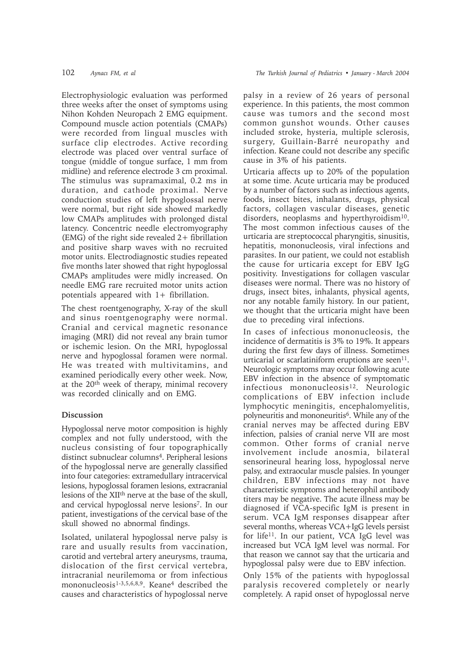Electrophysiologic evaluation was performed three weeks after the onset of symptoms using Nihon Kohden Neuropach 2 EMG equipment. Compound muscle action potentials (CMAPs) were recorded from lingual muscles with surface clip electrodes. Active recording electrode was placed over ventral surface of tongue (middle of tongue surface, 1 mm from midline) and reference electrode 3 cm proximal. The stimulus was supramaximal, 0.2 ms in duration, and cathode proximal. Nerve conduction studies of left hypoglossal nerve were normal, but right side showed markedly low CMAPs amplitudes with prolonged distal latency. Concentric needle electromyography (EMG) of the right side revealed 2+ fibrillation and positive sharp waves with no recruited motor units. Electrodiagnostic studies repeated five months later showed that right hypoglossal CMAPs amplitudes were midly increased. On needle EMG rare recruited motor units action potentials appeared with 1+ fibrillation.

The chest roentgenography, X-ray of the skull and sinus roentgenography were normal. Cranial and cervical magnetic resonance imaging (MRI) did not reveal any brain tumor or ischemic lesion. On the MRI, hypoglossal nerve and hypoglossal foramen were normal. He was treated with multivitamins, and examined periodically every other week. Now, at the 20th week of therapy, minimal recovery was recorded clinically and on EMG.

## **Discussion**

Hypoglossal nerve motor composition is highly complex and not fully understood, with the nucleus consisting of four topographically distinct subnuclear columns<sup>4</sup>. Peripheral lesions of the hypoglossal nerve are generally classified into four categories: extramedullary intracervical lesions, hypoglossal foramen lesions, extracranial lesions of the XIIth nerve at the base of the skull, and cervical hypoglossal nerve lesions7. In our patient, investigations of the cervical base of the skull showed no abnormal findings.

Isolated, unilateral hypoglossal nerve palsy is rare and usually results from vaccination, carotid and vertebral artery aneurysms, trauma, dislocation of the first cervical vertebra, intracranial neurilemoma or from infectious mononucleosis<sup>1-3,5,6,8,9</sup>. Keane<sup>4</sup> described the causes and characteristics of hypoglossal nerve

palsy in a review of 26 years of personal experience. In this patients, the most common cause was tumors and the second most common gunshot wounds. Other causes included stroke, hysteria, multiple sclerosis, surgery, Guillain-Barré neuropathy and infection. Keane could not describe any specific cause in 3% of his patients.

Urticaria affects up to 20% of the population at some time. Acute urticaria may be produced by a number of factors such as infectious agents, foods, insect bites, inhalants, drugs, physical factors, collagen vascular diseases, genetic disorders, neoplasms and hyperthyroidism<sup>10</sup>. The most common infectious causes of the urticaria are streptococcal pharyngitis, sinusitis, hepatitis, mononucleosis, viral infections and parasites. In our patient, we could not establish the cause for urticaria except for EBV IgG positivity. Investigations for collagen vascular diseases were normal. There was no history of drugs, insect bites, inhalants, physical agents, nor any notable family history. In our patient, we thought that the urticaria might have been due to preceding viral infections.

In cases of infectious mononucleosis, the incidence of dermatitis is 3% to 19%. It appears during the first few days of illness. Sometimes urticarial or scarlatiniform eruptions are seen $^{11}$ . Neurologic symptoms may occur following acute EBV infection in the absence of symptomatic  $infectious mononucleosis<sup>12</sup>$ . Neurologic complications of EBV infection include lymphocytic meningitis, encephalomyelitis, polyneuritis and mononeuritis6. While any of the cranial nerves may be affected during EBV infection, palsies of cranial nerve VII are most common. Other forms of cranial nerve involvement include anosmia, bilateral sensorineural hearing loss, hypoglossal nerve palsy, and extraocular muscle palsies. In younger children, EBV infections may not have characteristic symptoms and heterophil antibody titers may be negative. The acute illness may be diagnosed if VCA-specific IgM is present in serum. VCA IgM responses disappear after several months, whereas VCA+IgG levels persist for life11. In our patient, VCA IgG level was increased but VCA IgM level was normal. For that reason we cannot say that the urticaria and hypoglossal palsy were due to EBV infection.

Only 15% of the patients with hypoglossal paralysis recovered completely or nearly completely. A rapid onset of hypoglossal nerve